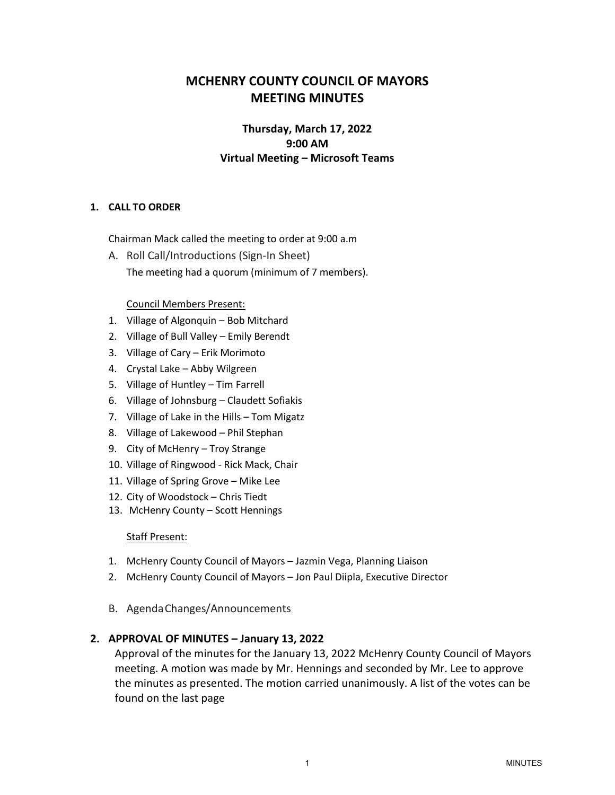# **MCHENRY COUNTY COUNCIL OF MAYORS MEETING MINUTES**

## **Thursday, March 17, 2022 9:00 AM Virtual Meeting – Microsoft Teams**

## **1. CALL TO ORDER**

Chairman Mack called the meeting to order at 9:00 a.m

A. Roll Call/Introductions (Sign-In Sheet) The meeting had a quorum (minimum of 7 members).

#### Council Members Present:

- 1. Village of Algonquin Bob Mitchard
- 2. Village of Bull Valley Emily Berendt
- 3. Village of Cary Erik Morimoto
- 4. Crystal Lake Abby Wilgreen
- 5. Village of Huntley Tim Farrell
- 6. Village of Johnsburg Claudett Sofiakis
- 7. Village of Lake in the Hills Tom Migatz
- 8. Village of Lakewood Phil Stephan
- 9. City of McHenry Troy Strange
- 10. Village of Ringwood Rick Mack, Chair
- 11. Village of Spring Grove Mike Lee
- 12. City of Woodstock Chris Tiedt
- 13. McHenry County Scott Hennings

#### Staff Present:

- 1. McHenry County Council of Mayors Jazmin Vega, Planning Liaison
- 2. McHenry County Council of Mayors Jon Paul Diipla, Executive Director
- B. AgendaChanges/Announcements

#### **2. APPROVAL OF MINUTES – January 13, 2022**

Approval of the minutes for the January 13, 2022 McHenry County Council of Mayors meeting. A motion was made by Mr. Hennings and seconded by Mr. Lee to approve the minutes as presented. The motion carried unanimously. A list of the votes can be found on the last page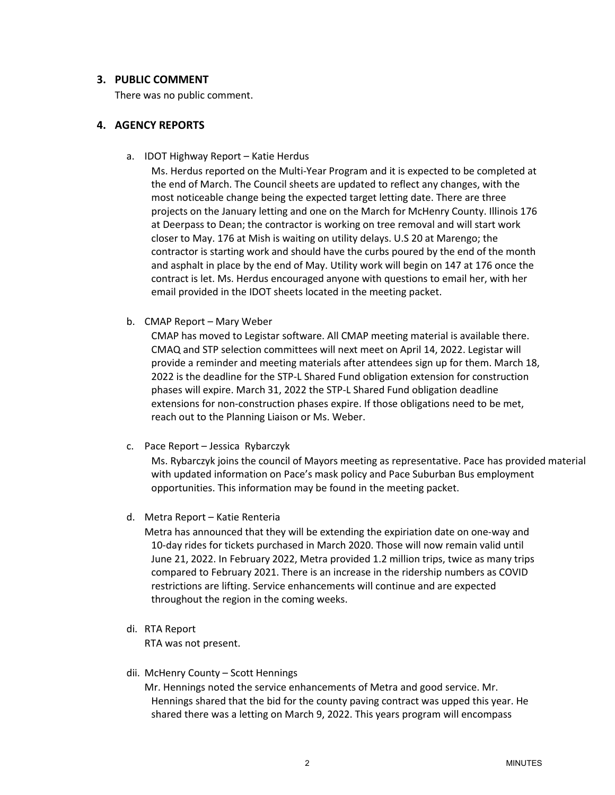## **3. PUBLIC COMMENT**

There was no public comment.

## **4. AGENCY REPORTS**

a. IDOT Highway Report – Katie Herdus

Ms. Herdus reported on the Multi-Year Program and it is expected to be completed at the end of March. The Council sheets are updated to reflect any changes, with the most noticeable change being the expected target letting date. There are three projects on the January letting and one on the March for McHenry County. Illinois 176 at Deerpass to Dean; the contractor is working on tree removal and will start work closer to May. 176 at Mish is waiting on utility delays. U.S 20 at Marengo; the contractor is starting work and should have the curbs poured by the end of the month and asphalt in place by the end of May. Utility work will begin on 147 at 176 once the contract is let. Ms. Herdus encouraged anyone with questions to email her, with her email provided in the IDOT sheets located in the meeting packet.

b. CMAP Report – Mary Weber

CMAP has moved to Legistar software. All CMAP meeting material is available there. CMAQ and STP selection committees will next meet on April 14, 2022. Legistar will provide a reminder and meeting materials after attendees sign up for them. March 18, 2022 is the deadline for the STP-L Shared Fund obligation extension for construction phases will expire. March 31, 2022 the STP-L Shared Fund obligation deadline extensions for non-construction phases expire. If those obligations need to be met, reach out to the Planning Liaison or Ms. Weber.

c. Pace Report – Jessica Rybarczyk

Ms. Rybarczyk joins the council of Mayors meeting as representative. Pace has provided material with updated information on Pace's mask policy and Pace Suburban Bus employment opportunities. This information may be found in the meeting packet.

d. Metra Report – Katie Renteria

Metra has announced that they will be extending the expiriation date on one-way and 10-day rides for tickets purchased in March 2020. Those will now remain valid until June 21, 2022. In February 2022, Metra provided 1.2 million trips, twice as many trips compared to February 2021. There is an increase in the ridership numbers as COVID restrictions are lifting. Service enhancements will continue and are expected throughout the region in the coming weeks.

di. RTA Report

RTA was not present.

dii. McHenry County – Scott Hennings

Mr. Hennings noted the service enhancements of Metra and good service. Mr. Hennings shared that the bid for the county paving contract was upped this year. He shared there was a letting on March 9, 2022. This years program will encompass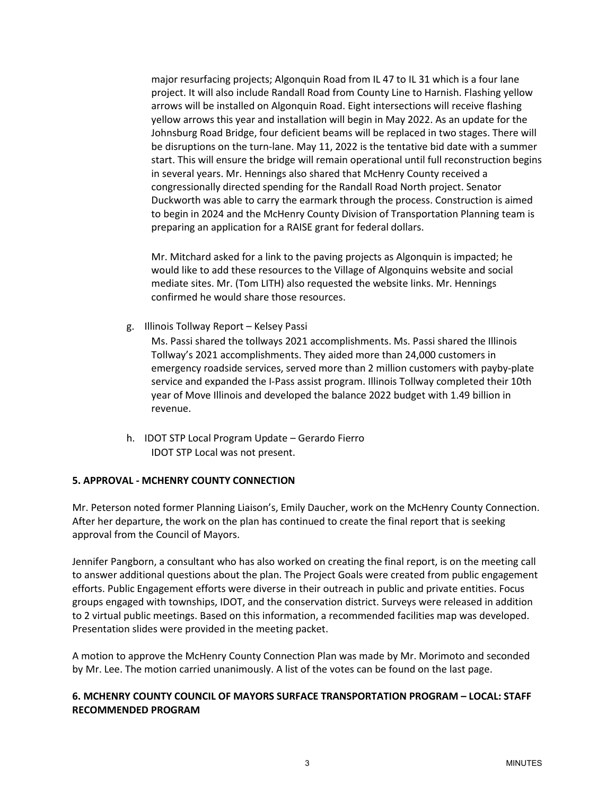major resurfacing projects; Algonquin Road from IL 47 to IL 31 which is a four lane project. It will also include Randall Road from County Line to Harnish. Flashing yellow arrows will be installed on Algonquin Road. Eight intersections will receive flashing yellow arrows this year and installation will begin in May 2022. As an update for the Johnsburg Road Bridge, four deficient beams will be replaced in two stages. There will be disruptions on the turn-lane. May 11, 2022 is the tentative bid date with a summer start. This will ensure the bridge will remain operational until full reconstruction begins in several years. Mr. Hennings also shared that McHenry County received a congressionally directed spending for the Randall Road North project. Senator Duckworth was able to carry the earmark through the process. Construction is aimed to begin in 2024 and the McHenry County Division of Transportation Planning team is preparing an application for a RAISE grant for federal dollars.

Mr. Mitchard asked for a link to the paving projects as Algonquin is impacted; he would like to add these resources to the Village of Algonquins website and social mediate sites. Mr. (Tom LITH) also requested the website links. Mr. Hennings confirmed he would share those resources.

g. Illinois Tollway Report – Kelsey Passi

Ms. Passi shared the tollways 2021 accomplishments. Ms. Passi shared the Illinois Tollway's 2021 accomplishments. They aided more than 24,000 customers in emergency roadside services, served more than 2 million customers with payby-plate service and expanded the I-Pass assist program. Illinois Tollway completed their 10th year of Move Illinois and developed the balance 2022 budget with 1.49 billion in revenue.

h. IDOT STP Local Program Update – Gerardo Fierro IDOT STP Local was not present.

#### **5. APPROVAL - MCHENRY COUNTY CONNECTION**

Mr. Peterson noted former Planning Liaison's, Emily Daucher, work on the McHenry County Connection. After her departure, the work on the plan has continued to create the final report that is seeking approval from the Council of Mayors.

Jennifer Pangborn, a consultant who has also worked on creating the final report, is on the meeting call to answer additional questions about the plan. The Project Goals were created from public engagement efforts. Public Engagement efforts were diverse in their outreach in public and private entities. Focus groups engaged with townships, IDOT, and the conservation district. Surveys were released in addition to 2 virtual public meetings. Based on this information, a recommended facilities map was developed. Presentation slides were provided in the meeting packet.

A motion to approve the McHenry County Connection Plan was made by Mr. Morimoto and seconded by Mr. Lee. The motion carried unanimously. A list of the votes can be found on the last page.

## **6. MCHENRY COUNTY COUNCIL OF MAYORS SURFACE TRANSPORTATION PROGRAM – LOCAL: STAFF RECOMMENDED PROGRAM**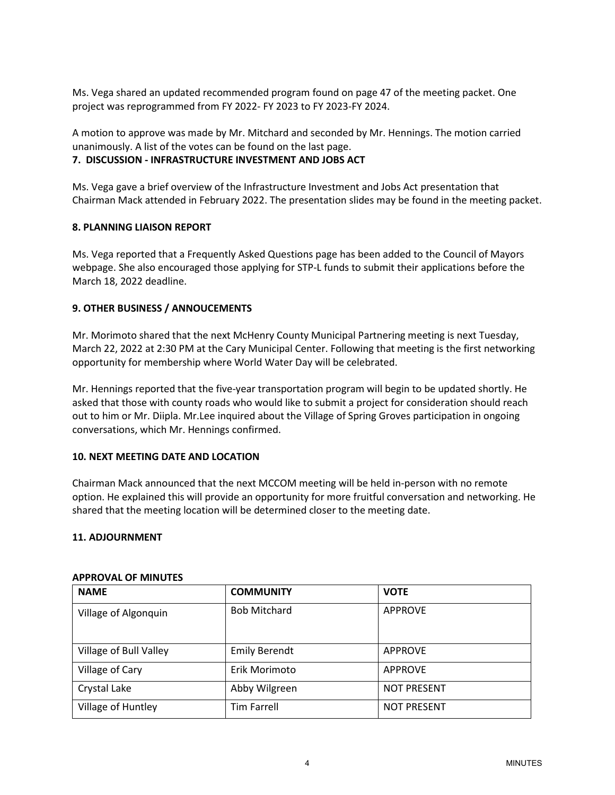Ms. Vega shared an updated recommended program found on page 47 of the meeting packet. One project was reprogrammed from FY 2022- FY 2023 to FY 2023-FY 2024.

A motion to approve was made by Mr. Mitchard and seconded by Mr. Hennings. The motion carried unanimously. A list of the votes can be found on the last page.

## **7. DISCUSSION - INFRASTRUCTURE INVESTMENT AND JOBS ACT**

Ms. Vega gave a brief overview of the Infrastructure Investment and Jobs Act presentation that Chairman Mack attended in February 2022. The presentation slides may be found in the meeting packet.

## **8. PLANNING LIAISON REPORT**

Ms. Vega reported that a Frequently Asked Questions page has been added to the Council of Mayors webpage. She also encouraged those applying for STP-L funds to submit their applications before the March 18, 2022 deadline.

## **9. OTHER BUSINESS / ANNOUCEMENTS**

Mr. Morimoto shared that the next McHenry County Municipal Partnering meeting is next Tuesday, March 22, 2022 at 2:30 PM at the Cary Municipal Center. Following that meeting is the first networking opportunity for membership where World Water Day will be celebrated.

Mr. Hennings reported that the five-year transportation program will begin to be updated shortly. He asked that those with county roads who would like to submit a project for consideration should reach out to him or Mr. Diipla. Mr.Lee inquired about the Village of Spring Groves participation in ongoing conversations, which Mr. Hennings confirmed.

#### **10. NEXT MEETING DATE AND LOCATION**

Chairman Mack announced that the next MCCOM meeting will be held in-person with no remote option. He explained this will provide an opportunity for more fruitful conversation and networking. He shared that the meeting location will be determined closer to the meeting date.

#### **11. ADJOURNMENT**

| <b>NAME</b>            | <b>COMMUNITY</b>     | <b>VOTE</b>        |
|------------------------|----------------------|--------------------|
| Village of Algonquin   | <b>Bob Mitchard</b>  | <b>APPROVE</b>     |
| Village of Bull Valley | <b>Emily Berendt</b> | <b>APPROVE</b>     |
| Village of Cary        | Erik Morimoto        | <b>APPROVE</b>     |
| Crystal Lake           | Abby Wilgreen        | <b>NOT PRESENT</b> |
| Village of Huntley     | <b>Tim Farrell</b>   | <b>NOT PRESENT</b> |

#### **APPROVAL OF MINUTES**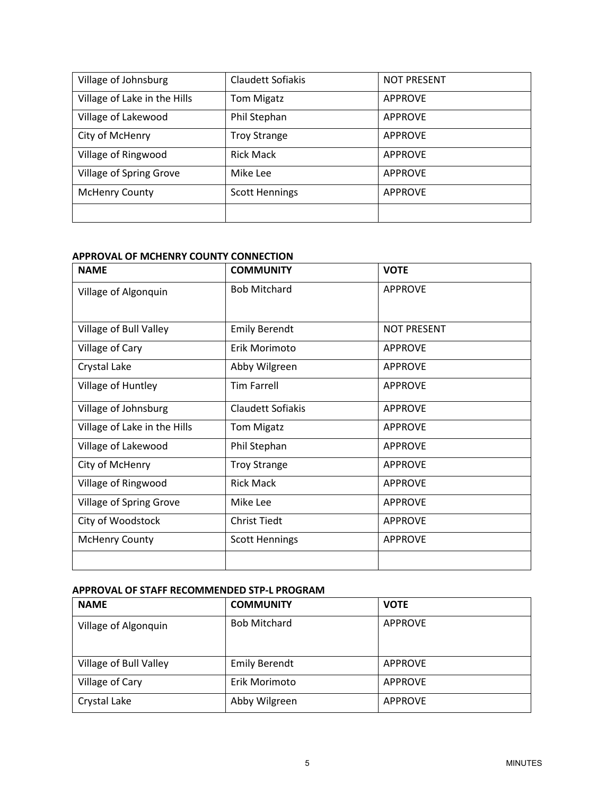| Village of Johnsburg         | Claudett Sofiakis     | <b>NOT PRESENT</b> |
|------------------------------|-----------------------|--------------------|
| Village of Lake in the Hills | <b>Tom Migatz</b>     | <b>APPROVE</b>     |
| Village of Lakewood          | Phil Stephan          | <b>APPROVE</b>     |
| City of McHenry              | <b>Troy Strange</b>   | <b>APPROVE</b>     |
| Village of Ringwood          | <b>Rick Mack</b>      | <b>APPROVE</b>     |
| Village of Spring Grove      | Mike Lee              | <b>APPROVE</b>     |
| <b>McHenry County</b>        | <b>Scott Hennings</b> | <b>APPROVE</b>     |
|                              |                       |                    |

#### **APPROVAL OF MCHENRY COUNTY CONNECTION**

| <b>NAME</b>                  | <b>COMMUNITY</b>      | <b>VOTE</b>        |
|------------------------------|-----------------------|--------------------|
| Village of Algonquin         | <b>Bob Mitchard</b>   | <b>APPROVE</b>     |
|                              |                       |                    |
| Village of Bull Valley       | <b>Emily Berendt</b>  | <b>NOT PRESENT</b> |
| Village of Cary              | Erik Morimoto         | <b>APPROVE</b>     |
| Crystal Lake                 | Abby Wilgreen         | <b>APPROVE</b>     |
| Village of Huntley           | <b>Tim Farrell</b>    | <b>APPROVE</b>     |
| Village of Johnsburg         | Claudett Sofiakis     | <b>APPROVE</b>     |
| Village of Lake in the Hills | <b>Tom Migatz</b>     | <b>APPROVE</b>     |
| Village of Lakewood          | Phil Stephan          | <b>APPROVE</b>     |
| City of McHenry              | <b>Troy Strange</b>   | <b>APPROVE</b>     |
| Village of Ringwood          | <b>Rick Mack</b>      | <b>APPROVE</b>     |
| Village of Spring Grove      | Mike Lee              | <b>APPROVE</b>     |
| City of Woodstock            | <b>Christ Tiedt</b>   | <b>APPROVE</b>     |
| <b>McHenry County</b>        | <b>Scott Hennings</b> | <b>APPROVE</b>     |
|                              |                       |                    |

## **APPROVAL OF STAFF RECOMMENDED STP-L PROGRAM**

| <b>NAME</b>            | <b>COMMUNITY</b>     | <b>VOTE</b>    |
|------------------------|----------------------|----------------|
| Village of Algonquin   | <b>Bob Mitchard</b>  | <b>APPROVE</b> |
| Village of Bull Valley | <b>Emily Berendt</b> | <b>APPROVE</b> |
| Village of Cary        | Erik Morimoto        | <b>APPROVE</b> |
| Crystal Lake           | Abby Wilgreen        | <b>APPROVE</b> |